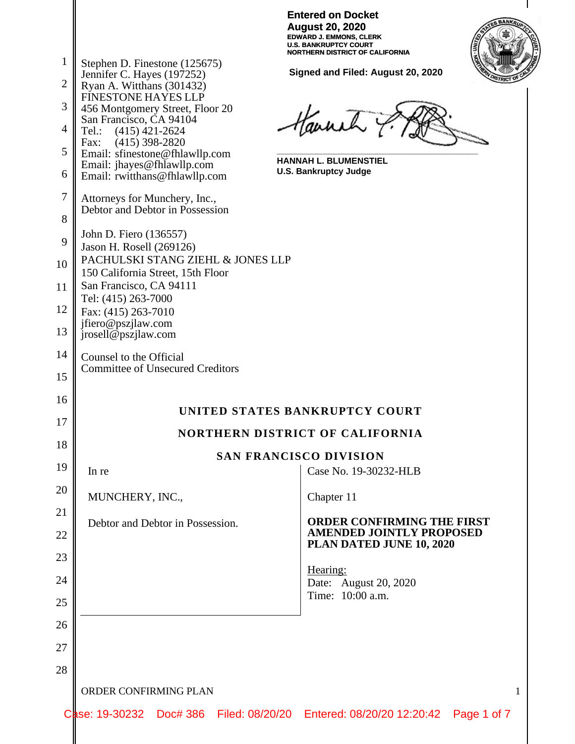| <b>Entered on Docket</b>        |
|---------------------------------|
| <b>August 20, 2020</b>          |
| <b>EDWARD J. EMMONS. CLERK</b>  |
| U.S. BANKRUPTCY COURT           |
| NORTHERN DISTRICT OF CALIFORNIA |



**Signed and Filed: August 20, 2020**

| Ryan A. Witthans (301432)<br><b>FINESTONE HAYES LLP</b><br>456 Montgomery Street, Floor 20<br>San Francisco, CA 94104<br>Tel.: (415) 421-2624<br>Fax: (415) 398-2820<br>Email: sfinestone@fhlawllp.com<br>Email: jhayes@fhlawllp.com<br>Email: rwitthans@fhlawllp.com | Haunch 7<br><b>HANNAH L. BLUMENSTIEL</b><br><b>U.S. Bankruptcy Judge</b>                         |  |  |  |  |  |
|-----------------------------------------------------------------------------------------------------------------------------------------------------------------------------------------------------------------------------------------------------------------------|--------------------------------------------------------------------------------------------------|--|--|--|--|--|
| Attorneys for Munchery, Inc.,<br>Debtor and Debtor in Possession                                                                                                                                                                                                      |                                                                                                  |  |  |  |  |  |
| John D. Fiero (136557)<br>Jason H. Rosell (269126)<br>PACHULSKI STANG ZIEHL & JONES LLP<br>150 California Street, 15th Floor<br>San Francisco, CA 94111<br>Tel: (415) 263-7000<br>Fax: (415) 263-7010<br>jfiero@pszjlaw.com<br>jrosell@pszjlaw.com                    |                                                                                                  |  |  |  |  |  |
| Counsel to the Official<br><b>Committee of Unsecured Creditors</b>                                                                                                                                                                                                    |                                                                                                  |  |  |  |  |  |
|                                                                                                                                                                                                                                                                       | UNITED STATES BANKRUPTCY COURT                                                                   |  |  |  |  |  |
|                                                                                                                                                                                                                                                                       | <b>NORTHERN DISTRICT OF CALIFORNIA</b>                                                           |  |  |  |  |  |
| <b>SAN FRANCISCO DIVISION</b>                                                                                                                                                                                                                                         |                                                                                                  |  |  |  |  |  |
| In re                                                                                                                                                                                                                                                                 | Case No. 19-30232-HLB                                                                            |  |  |  |  |  |
| MUNCHERY, INC.,                                                                                                                                                                                                                                                       | Chapter 11                                                                                       |  |  |  |  |  |
| Debtor and Debtor in Possession.                                                                                                                                                                                                                                      | <b>ORDER CONFIRMING THE FIRST</b><br><b>AMENDED JOINTLY PROPOSED</b><br>PLAN DATED JUNE 10, 2020 |  |  |  |  |  |
|                                                                                                                                                                                                                                                                       | Hearing:<br>Date: August 20, 2020<br>Time: 10:00 a.m.                                            |  |  |  |  |  |
| ORDER CONFIRMING PLAN                                                                                                                                                                                                                                                 |                                                                                                  |  |  |  |  |  |

1

Stephen D. Finestone (125675) Jennifer C. Hayes (197252)

2

3

4

5

6

7

8

9

10

11

12

13

14

15

16

17

18

19

20

21

22

23

24

25

26

27

28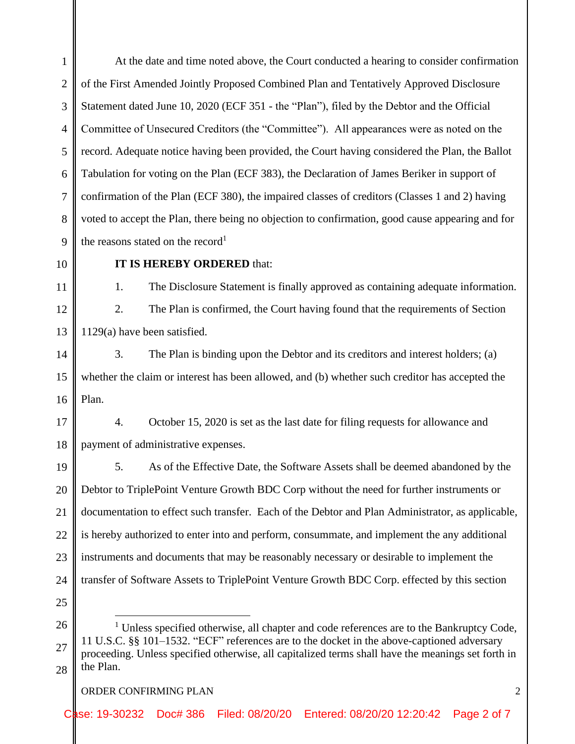1 2 3 4 5 6 7 8 9 At the date and time noted above, the Court conducted a hearing to consider confirmation of the First Amended Jointly Proposed Combined Plan and Tentatively Approved Disclosure Statement dated June 10, 2020 (ECF 351 - the "Plan"), filed by the Debtor and the Official Committee of Unsecured Creditors (the "Committee"). All appearances were as noted on the record. Adequate notice having been provided, the Court having considered the Plan, the Ballot Tabulation for voting on the Plan (ECF 383), the Declaration of James Beriker in support of confirmation of the Plan (ECF 380), the impaired classes of creditors (Classes 1 and 2) having voted to accept the Plan, there being no objection to confirmation, good cause appearing and for the reasons stated on the record<sup>1</sup>

10

11

12

13

15

16

# **IT IS HEREBY ORDERED** that:

1. The Disclosure Statement is finally approved as containing adequate information.

2. The Plan is confirmed, the Court having found that the requirements of Section 1129(a) have been satisfied.

14 3. The Plan is binding upon the Debtor and its creditors and interest holders; (a) whether the claim or interest has been allowed, and (b) whether such creditor has accepted the Plan.

17 18 4. October 15, 2020 is set as the last date for filing requests for allowance and payment of administrative expenses.

19 20 21 22 23 24 5. As of the Effective Date, the Software Assets shall be deemed abandoned by the Debtor to TriplePoint Venture Growth BDC Corp without the need for further instruments or documentation to effect such transfer. Each of the Debtor and Plan Administrator, as applicable, is hereby authorized to enter into and perform, consummate, and implement the any additional instruments and documents that may be reasonably necessary or desirable to implement the transfer of Software Assets to TriplePoint Venture Growth BDC Corp. effected by this section

25

26 27 28  $1$  Unless specified otherwise, all chapter and code references are to the Bankruptcy Code, 11 U.S.C. §§ 101–1532. "ECF" references are to the docket in the above-captioned adversary proceeding. Unless specified otherwise, all capitalized terms shall have the meanings set forth in the Plan.

### ORDER CONFIRMING PLAN 2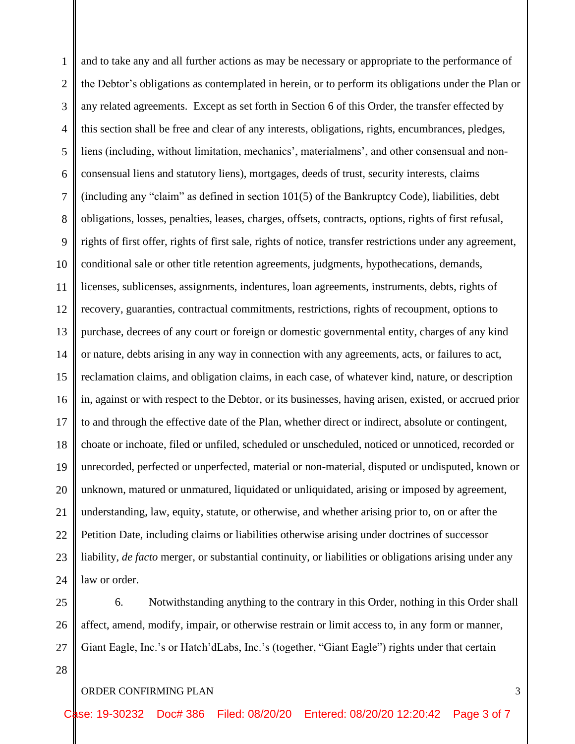1 2 3 4 5 6 7 8 9 10 11 12 13 14 15 16 17 18 19 20 21 22 23 24 and to take any and all further actions as may be necessary or appropriate to the performance of the Debtor's obligations as contemplated in herein, or to perform its obligations under the Plan or any related agreements. Except as set forth in Section 6 of this Order, the transfer effected by this section shall be free and clear of any interests, obligations, rights, encumbrances, pledges, liens (including, without limitation, mechanics', materialmens', and other consensual and nonconsensual liens and statutory liens), mortgages, deeds of trust, security interests, claims (including any "claim" as defined in section 101(5) of the Bankruptcy Code), liabilities, debt obligations, losses, penalties, leases, charges, offsets, contracts, options, rights of first refusal, rights of first offer, rights of first sale, rights of notice, transfer restrictions under any agreement, conditional sale or other title retention agreements, judgments, hypothecations, demands, licenses, sublicenses, assignments, indentures, loan agreements, instruments, debts, rights of recovery, guaranties, contractual commitments, restrictions, rights of recoupment, options to purchase, decrees of any court or foreign or domestic governmental entity, charges of any kind or nature, debts arising in any way in connection with any agreements, acts, or failures to act, reclamation claims, and obligation claims, in each case, of whatever kind, nature, or description in, against or with respect to the Debtor, or its businesses, having arisen, existed, or accrued prior to and through the effective date of the Plan, whether direct or indirect, absolute or contingent, choate or inchoate, filed or unfiled, scheduled or unscheduled, noticed or unnoticed, recorded or unrecorded, perfected or unperfected, material or non-material, disputed or undisputed, known or unknown, matured or unmatured, liquidated or unliquidated, arising or imposed by agreement, understanding, law, equity, statute, or otherwise, and whether arising prior to, on or after the Petition Date, including claims or liabilities otherwise arising under doctrines of successor liability, *de facto* merger, or substantial continuity, or liabilities or obligations arising under any law or order.

25 26 27 6. Notwithstanding anything to the contrary in this Order, nothing in this Order shall affect, amend, modify, impair, or otherwise restrain or limit access to, in any form or manner, Giant Eagle, Inc.'s or Hatch'dLabs, Inc.'s (together, "Giant Eagle") rights under that certain

ORDER CONFIRMING PLAN 3

28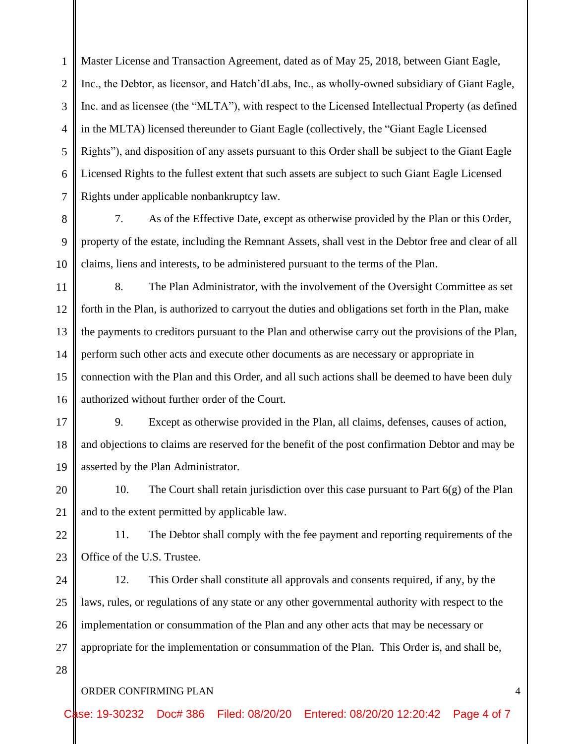1 2 3 4 5 6 7 Master License and Transaction Agreement, dated as of May 25, 2018, between Giant Eagle, Inc., the Debtor, as licensor, and Hatch'dLabs, Inc., as wholly-owned subsidiary of Giant Eagle, Inc. and as licensee (the "MLTA"), with respect to the Licensed Intellectual Property (as defined in the MLTA) licensed thereunder to Giant Eagle (collectively, the "Giant Eagle Licensed Rights"), and disposition of any assets pursuant to this Order shall be subject to the Giant Eagle Licensed Rights to the fullest extent that such assets are subject to such Giant Eagle Licensed Rights under applicable nonbankruptcy law.

10 7. As of the Effective Date, except as otherwise provided by the Plan or this Order, property of the estate, including the Remnant Assets, shall vest in the Debtor free and clear of all claims, liens and interests, to be administered pursuant to the terms of the Plan.

11 12 13 14 15 16 8. The Plan Administrator, with the involvement of the Oversight Committee as set forth in the Plan, is authorized to carryout the duties and obligations set forth in the Plan, make the payments to creditors pursuant to the Plan and otherwise carry out the provisions of the Plan, perform such other acts and execute other documents as are necessary or appropriate in connection with the Plan and this Order, and all such actions shall be deemed to have been duly authorized without further order of the Court.

17 18 19 9. Except as otherwise provided in the Plan, all claims, defenses, causes of action, and objections to claims are reserved for the benefit of the post confirmation Debtor and may be asserted by the Plan Administrator.

20 21 10. The Court shall retain jurisdiction over this case pursuant to Part 6(g) of the Plan and to the extent permitted by applicable law.

22 23 11. The Debtor shall comply with the fee payment and reporting requirements of the Office of the U.S. Trustee.

24 25 26 27 12. This Order shall constitute all approvals and consents required, if any, by the laws, rules, or regulations of any state or any other governmental authority with respect to the implementation or consummation of the Plan and any other acts that may be necessary or appropriate for the implementation or consummation of the Plan. This Order is, and shall be,

### ORDER CONFIRMING PLAN 4

8

9

28

Case: 19-30232 Doc# 386 Filed: 08/20/20 Entered: 08/20/20 12:20:42 Page 4 of 7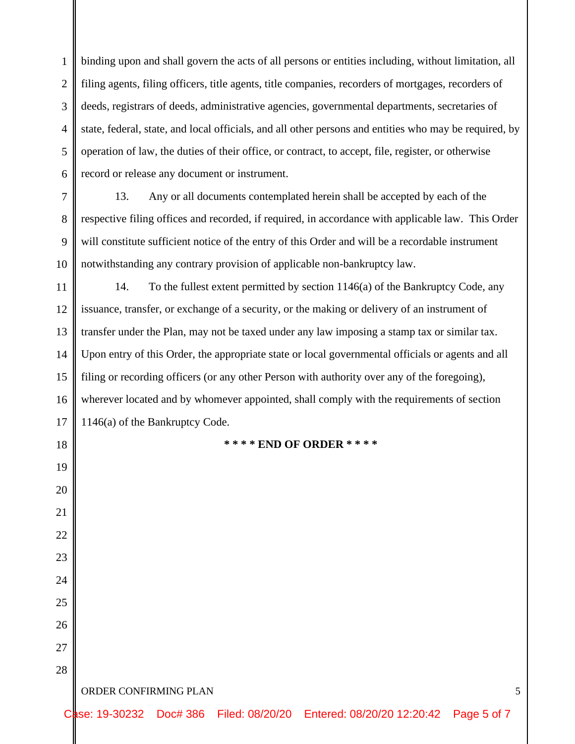1 2 3 4 5 6 binding upon and shall govern the acts of all persons or entities including, without limitation, all filing agents, filing officers, title agents, title companies, recorders of mortgages, recorders of deeds, registrars of deeds, administrative agencies, governmental departments, secretaries of state, federal, state, and local officials, and all other persons and entities who may be required, by operation of law, the duties of their office, or contract, to accept, file, register, or otherwise record or release any document or instrument.

7 8 9 10 13. Any or all documents contemplated herein shall be accepted by each of the respective filing offices and recorded, if required, in accordance with applicable law. This Order will constitute sufficient notice of the entry of this Order and will be a recordable instrument notwithstanding any contrary provision of applicable non-bankruptcy law.

11 12 13 14 15 16 17 14. To the fullest extent permitted by section 1146(a) of the Bankruptcy Code, any issuance, transfer, or exchange of a security, or the making or delivery of an instrument of transfer under the Plan, may not be taxed under any law imposing a stamp tax or similar tax. Upon entry of this Order, the appropriate state or local governmental officials or agents and all filing or recording officers (or any other Person with authority over any of the foregoing), wherever located and by whomever appointed, shall comply with the requirements of section 1146(a) of the Bankruptcy Code.

#### **\* \* \* \* END OF ORDER \* \* \* \***

ORDER CONFIRMING PLAN 5

18

19

20

21

22

23

24

25

26

27

28

Case: 19-30232 Doc# 386 Filed: 08/20/20 Entered: 08/20/20 12:20:42 Page 5 of 7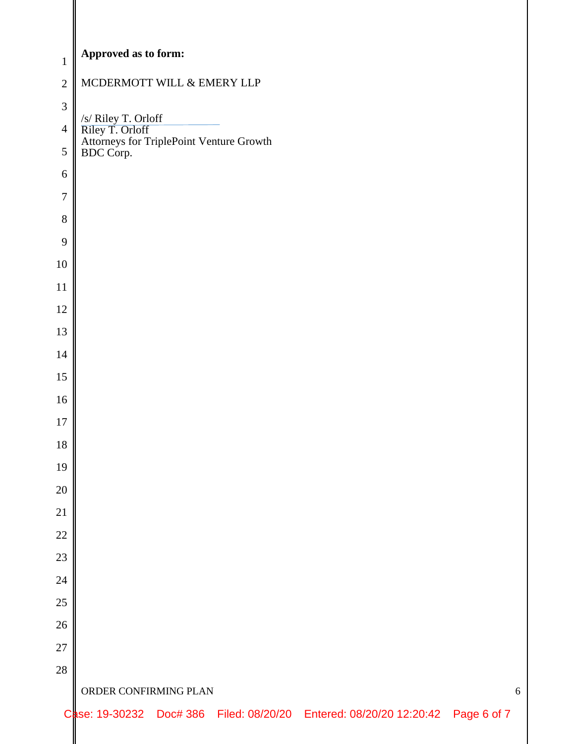| $\mathbf{1}$   | Approved as to form:                                                                            |  |  |  |  |  |  |
|----------------|-------------------------------------------------------------------------------------------------|--|--|--|--|--|--|
| $\overline{2}$ | MCDERMOTT WILL & EMERY LLP                                                                      |  |  |  |  |  |  |
| $\mathfrak{Z}$ |                                                                                                 |  |  |  |  |  |  |
| $\overline{4}$ |                                                                                                 |  |  |  |  |  |  |
| $\sqrt{5}$     | /s/ Riley T. Orloff<br>Riley T. Orloff<br>Attorneys for TriplePoint Venture Growth<br>BDC Corp. |  |  |  |  |  |  |
| $6\,$          |                                                                                                 |  |  |  |  |  |  |
| $\tau$         |                                                                                                 |  |  |  |  |  |  |
| $8\,$          |                                                                                                 |  |  |  |  |  |  |
| 9              |                                                                                                 |  |  |  |  |  |  |
| $10\,$         |                                                                                                 |  |  |  |  |  |  |
| $11\,$         |                                                                                                 |  |  |  |  |  |  |
| 12             |                                                                                                 |  |  |  |  |  |  |
| 13             |                                                                                                 |  |  |  |  |  |  |
| $14$           |                                                                                                 |  |  |  |  |  |  |
| 15             |                                                                                                 |  |  |  |  |  |  |
| 16             |                                                                                                 |  |  |  |  |  |  |
| $17\,$         |                                                                                                 |  |  |  |  |  |  |
| 18             |                                                                                                 |  |  |  |  |  |  |
| 19             |                                                                                                 |  |  |  |  |  |  |
| $20\,$         |                                                                                                 |  |  |  |  |  |  |
| $21\,$         |                                                                                                 |  |  |  |  |  |  |
| $22\,$         |                                                                                                 |  |  |  |  |  |  |
| $23\,$         |                                                                                                 |  |  |  |  |  |  |
| $24\,$         |                                                                                                 |  |  |  |  |  |  |
| $25\,$         |                                                                                                 |  |  |  |  |  |  |
| $26\,$         |                                                                                                 |  |  |  |  |  |  |
| $27\,$         |                                                                                                 |  |  |  |  |  |  |
| 28             |                                                                                                 |  |  |  |  |  |  |
|                | ORDER CONFIRMING PLAN<br>6                                                                      |  |  |  |  |  |  |
|                | Case: 19-30232 Doc# 386 Filed: 08/20/20 Entered: 08/20/20 12:20:42 Page 6 of 7                  |  |  |  |  |  |  |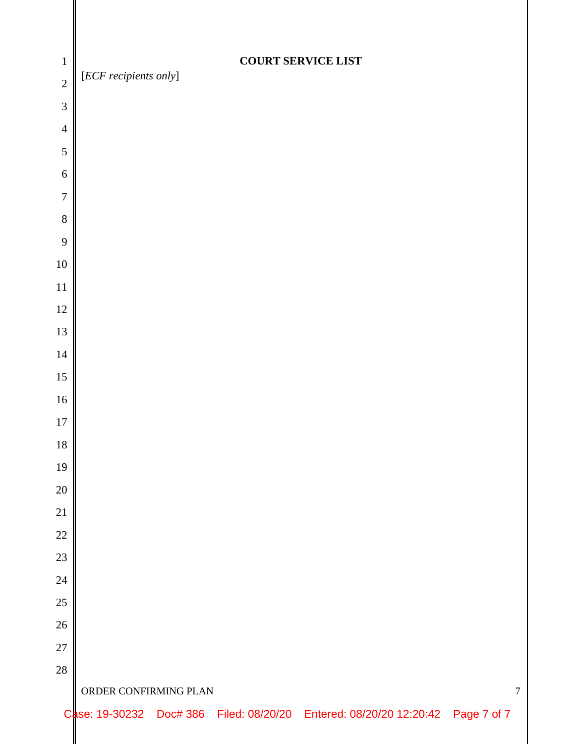| $\mathbf{1}$   |                                         |  |  | <b>COURT SERVICE LIST</b>                                                      |  |  |  |
|----------------|-----------------------------------------|--|--|--------------------------------------------------------------------------------|--|--|--|
| $\overline{2}$ | [ECF recipients only]                   |  |  |                                                                                |  |  |  |
| $\overline{3}$ |                                         |  |  |                                                                                |  |  |  |
| $\overline{4}$ |                                         |  |  |                                                                                |  |  |  |
| 5              |                                         |  |  |                                                                                |  |  |  |
| 6              |                                         |  |  |                                                                                |  |  |  |
| $\overline{7}$ |                                         |  |  |                                                                                |  |  |  |
| $\,8\,$        |                                         |  |  |                                                                                |  |  |  |
| 9              |                                         |  |  |                                                                                |  |  |  |
| $10\,$         |                                         |  |  |                                                                                |  |  |  |
| 11             |                                         |  |  |                                                                                |  |  |  |
| 12             |                                         |  |  |                                                                                |  |  |  |
| 13             |                                         |  |  |                                                                                |  |  |  |
| 14             |                                         |  |  |                                                                                |  |  |  |
| $15\,$         |                                         |  |  |                                                                                |  |  |  |
| $16\,$         |                                         |  |  |                                                                                |  |  |  |
| $17\,$         |                                         |  |  |                                                                                |  |  |  |
| 18<br>19       |                                         |  |  |                                                                                |  |  |  |
| $20\,$         |                                         |  |  |                                                                                |  |  |  |
| 21             |                                         |  |  |                                                                                |  |  |  |
| $22\,$         |                                         |  |  |                                                                                |  |  |  |
| $23\,$         |                                         |  |  |                                                                                |  |  |  |
| $24\,$         |                                         |  |  |                                                                                |  |  |  |
| $25\,$         |                                         |  |  |                                                                                |  |  |  |
| $26\,$         |                                         |  |  |                                                                                |  |  |  |
| 27             |                                         |  |  |                                                                                |  |  |  |
| 28             |                                         |  |  |                                                                                |  |  |  |
|                | ORDER CONFIRMING PLAN<br>$\overline{7}$ |  |  |                                                                                |  |  |  |
|                |                                         |  |  | Case: 19-30232 Doc# 386 Filed: 08/20/20 Entered: 08/20/20 12:20:42 Page 7 of 7 |  |  |  |
|                |                                         |  |  |                                                                                |  |  |  |